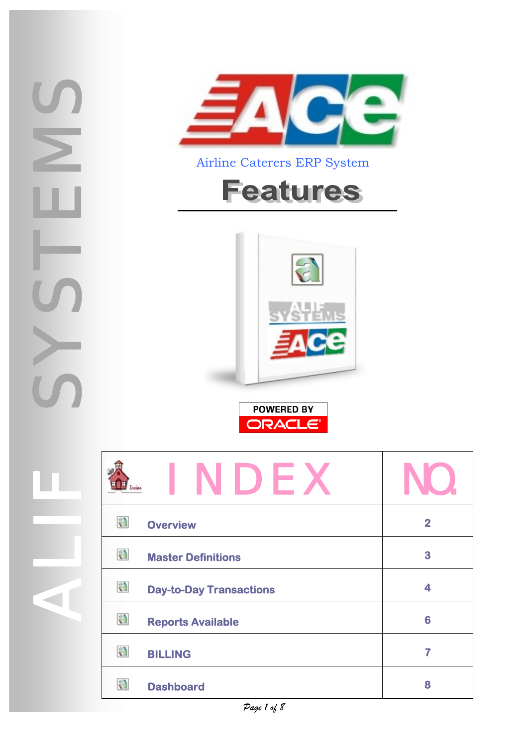<span id="page-0-0"></span>



Airline Caterers ERP System

# **Features**





|   | NDEX                           |                         |
|---|--------------------------------|-------------------------|
| a | <b>Overview</b>                | $\overline{\mathbf{2}}$ |
| a | <b>Master Definitions</b>      | 3                       |
| a | <b>Day-to-Day Transactions</b> | 4                       |
| a | <b>Reports Available</b>       | 6                       |
| a | <b>BILLING</b>                 | 7                       |
| a | <b>Dashboard</b>               | 8                       |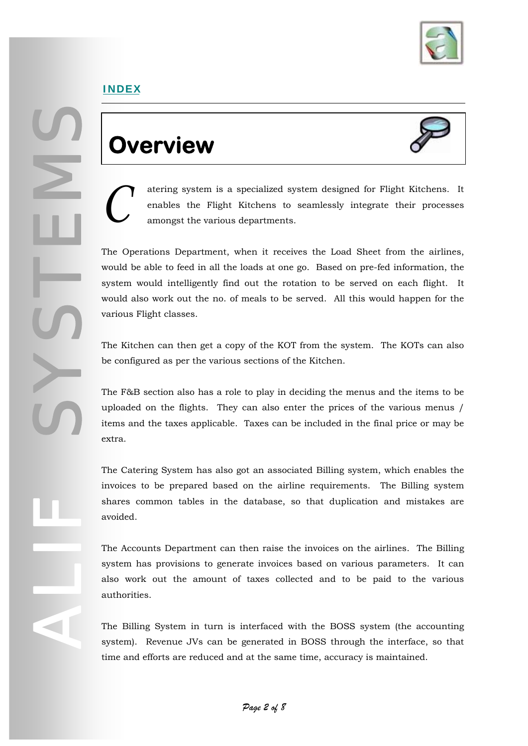

### <span id="page-1-0"></span>**Overview**



atering system is a specialized system designed for Flight Kitchens. It enables the Flight Kitchens to seamlessly integrate their processes amongst the various departments. enables the Flight Kitchens to seamlessly integrate their processes amongst the various departments.

The Operations Department, when it receives the Load Sheet from the airlines, would be able to feed in all the loads at one go. Based on pre-fed information, the system would intelligently find out the rotation to be served on each flight. It would also work out the no. of meals to be served. All this would happen for the various Flight classes.

The Kitchen can then get a copy of the KOT from the system. The KOTs can also be configured as per the various sections of the Kitchen.

The F&B section also has a role to play in deciding the menus and the items to be uploaded on the flights. They can also enter the prices of the various menus / items and the taxes applicable. Taxes can be included in the final price or may be extra.

The Catering System has also got an associated Billing system, which enables the invoices to be prepared based on the airline requirements. The Billing system shares common tables in the database, so that duplication and mistakes are avoided.

The Accounts Department can then raise the invoices on the airlines. The Billing system has provisions to generate invoices based on various parameters. It can also work out the amount of taxes collected and to be paid to the various authorities.

The Billing System in turn is interfaced with the BOSS system (the accounting system). Revenue JVs can be generated in BOSS through the interface, so that time and efforts are reduced and at the same time, accuracy is maintained.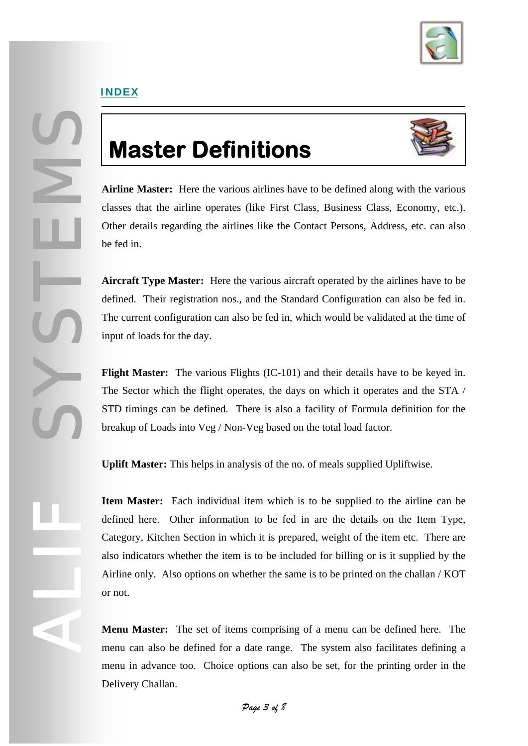

SYSTEMS

ALIF

### **Master Definitions**



**Airline Master:** Here the various airlines have to be defined along with the various classes that the airline operates (like First Class, Business Class, Economy, etc.). Other details regarding the airlines like the Contact Persons, Address, etc. can also be fed in.

**Aircraft Type Master:** Here the various aircraft operated by the airlines have to be defined. Their registration nos., and the Standard Configuration can also be fed in. The current configuration can also be fed in, which would be validated at the time of input of loads for the day.

**Flight Master:** The various Flights (IC-101) and their details have to be keyed in. The Sector which the flight operates, the days on which it operates and the STA / STD timings can be defined. There is also a facility of Formula definition for the breakup of Loads into Veg / Non-Veg based on the total load factor.

**Uplift Master:** This helps in analysis of the no. of meals supplied Upliftwise.

**Item Master:** Each individual item which is to be supplied to the airline can be defined here. Other information to be fed in are the details on the Item Type, Category, Kitchen Section in which it is prepared, weight of the item etc. There are also indicators whether the item is to be included for billing or is it supplied by the Airline only. Also options on whether the same is to be printed on the challan / KOT or not.

**Menu Master:** The set of items comprising of a menu can be defined here. The menu can also be defined for a date range. The system also facilitates defining a menu in advance too. Choice options can also be set, for the printing order in the Delivery Challan.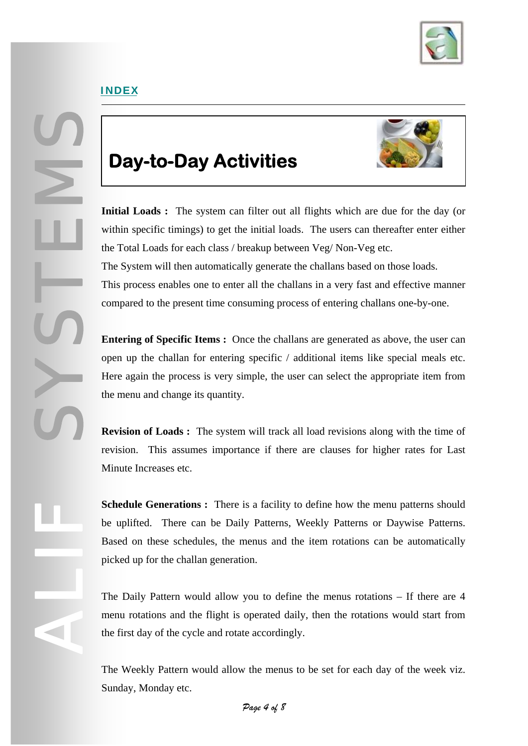

SYSTEMS

ALIF

### **Day-to-Day Activities**



**Initial Loads :** The system can filter out all flights which are due for the day (or within specific timings) to get the initial loads. The users can thereafter enter either the Total Loads for each class / breakup between Veg/ Non-Veg etc. The System will then automatically generate the challans based on those loads. This process enables one to enter all the challans in a very fast and effective manner compared to the present time consuming process of entering challans one-by-one.

**Entering of Specific Items :** Once the challans are generated as above, the user can open up the challan for entering specific / additional items like special meals etc. Here again the process is very simple, the user can select the appropriate item from the menu and change its quantity.

**Revision of Loads :** The system will track all load revisions along with the time of revision. This assumes importance if there are clauses for higher rates for Last Minute Increases etc.

**Schedule Generations :** There is a facility to define how the menu patterns should be uplifted. There can be Daily Patterns, Weekly Patterns or Daywise Patterns. Based on these schedules, the menus and the item rotations can be automatically picked up for the challan generation.

The Daily Pattern would allow you to define the menus rotations – If there are 4 menu rotations and the flight is operated daily, then the rotations would start from the first day of the cycle and rotate accordingly.

The Weekly Pattern would allow the menus to be set for each day of the week viz. Sunday, Monday etc.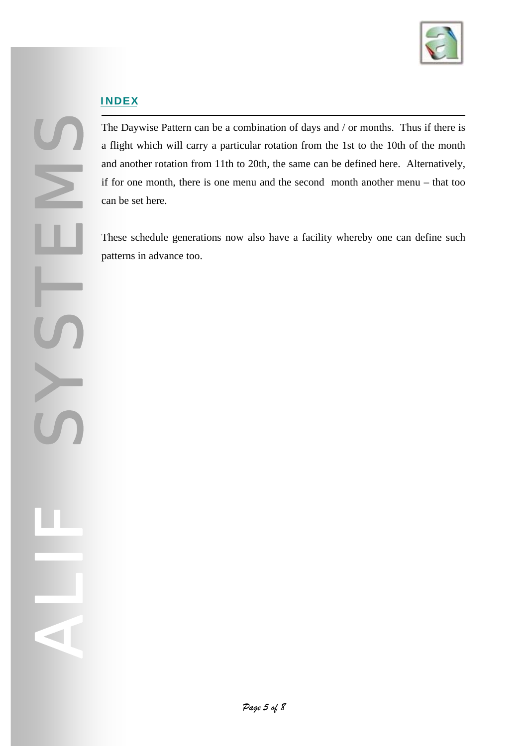

SYSTEMS

ALIF

The Daywise Pattern can be a combination of days and / or months. Thus if there is a flight which will carry a particular rotation from the 1st to the 10th of the month and another rotation from 11th to 20th, the same can be defined here. Alternatively, if for one month, there is one menu and the second month another menu – that too can be set here.

These schedule generations now also have a facility whereby one can define such patterns in advance too.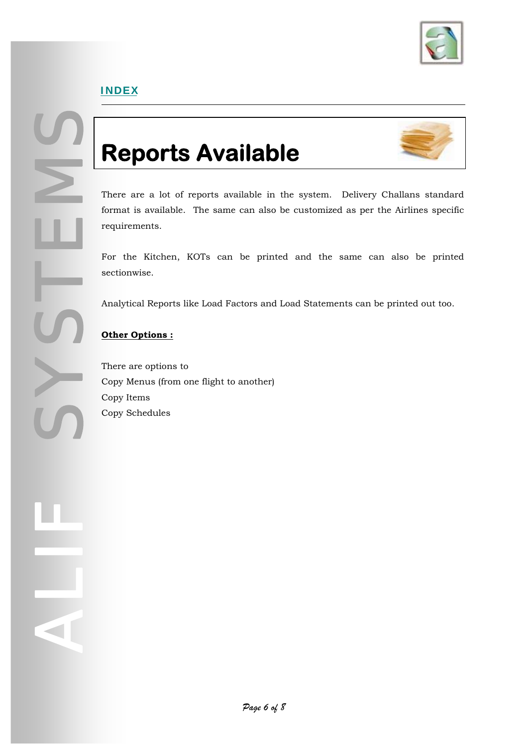

## **Reports Available**



There are a lot of reports available in the system. Delivery Challans standard format is available. The same can also be customized as per the Airlines specific requirements.

For the Kitchen, KOTs can be printed and the same can also be printed sectionwise.

Analytical Reports like Load Factors and Load Statements can be printed out too.

#### **Other Options :**

SYSTEMS

ALIF

There are options to Copy Menus (from one flight to another) Copy Items Copy Schedules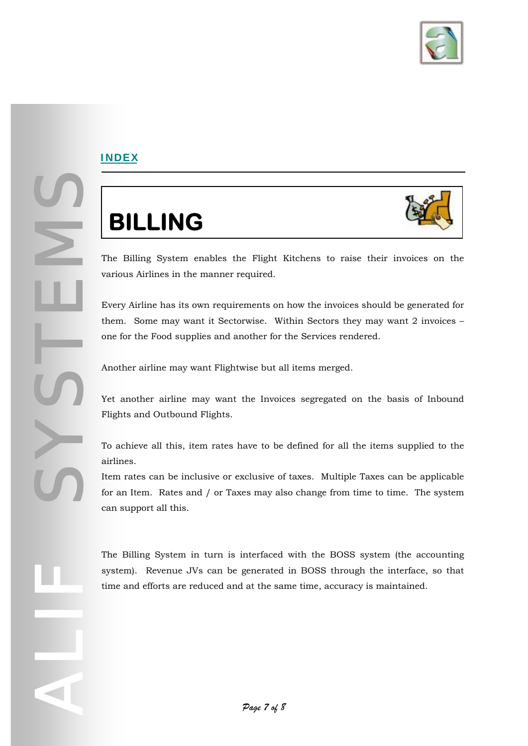

SYSSEEMS OF

ALIF

# **BILLING**



The Billing System enables the Flight Kitchens to raise their invoices on the various Airlines in the manner required.

Every Airline has its own requirements on how the invoices should be generated for them. Some may want it Sectorwise. Within Sectors they may want 2 invoices – one for the Food supplies and another for the Services rendered.

Another airline may want Flightwise but all items merged.

Yet another airline may want the Invoices segregated on the basis of Inbound Flights and Outbound Flights.

To achieve all this, item rates have to be defined for all the items supplied to the airlines.

Item rates can be inclusive or exclusive of taxes. Multiple Taxes can be applicable for an Item. Rates and / or Taxes may also change from time to time. The system can support all this.

The Billing System in turn is interfaced with the BOSS system (the accounting system). Revenue JVs can be generated in BOSS through the interface, so that time and efforts are reduced and at the same time, accuracy is maintained.